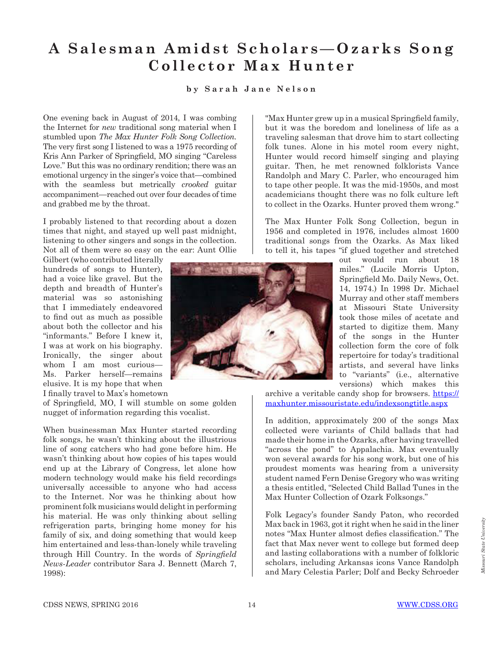## **A S a l e s m a n A m i d s t S c h o l a r s — O z a r k s S o n g Collector Max Hunter**

## **by Sarah Jane Nelson**

One evening back in August of 2014, I was combing the Internet for *new* traditional song material when I stumbled upon *The Max Hunter Folk Song Collection.*  The very first song I listened to was a 1975 recording of Kris Ann Parker of Springfield, MO singing "Careless Love." But this was no ordinary rendition; there was an emotional urgency in the singer's voice that—combined with the seamless but metrically *crooked* guitar accompaniment—reached out over four decades of time and grabbed me by the throat.

I probably listened to that recording about a dozen times that night, and stayed up well past midnight, listening to other singers and songs in the collection. Not all of them were so easy on the ear: Aunt Ollie

Gilbert (who contributed literally hundreds of songs to Hunter), had a voice like gravel. But the depth and breadth of Hunter's material was so astonishing that I immediately endeavored to find out as much as possible about both the collector and his "informants." Before I knew it, I was at work on his biography. Ironically, the singer about whom I am most curious— Ms. Parker herself—remains elusive. It is my hope that when I finally travel to Max's hometown

of Springfield, MO, I will stumble on some golden nugget of information regarding this vocalist.

When businessman Max Hunter started recording folk songs, he wasn't thinking about the illustrious line of song catchers who had gone before him. He wasn't thinking about how copies of his tapes would end up at the Library of Congress, let alone how modern technology would make his field recordings universally accessible to anyone who had access to the Internet. Nor was he thinking about how prominent folk musicians would delight in performing his material. He was only thinking about selling refrigeration parts, bringing home money for his family of six, and doing something that would keep him entertained and less-than-lonely while traveling through Hill Country. In the words of *Springfield News-Leader* contributor Sara J. Bennett (March 7, 1998):



"Max Hunter grew up in a musical Springfield family, but it was the boredom and loneliness of life as a traveling salesman that drove him to start collecting folk tunes. Alone in his motel room every night, Hunter would record himself singing and playing guitar. Then, he met renowned folklorists Vance Randolph and Mary C. Parler, who encouraged him to tape other people. It was the mid-1950s, and most academicians thought there was no folk culture left to collect in the Ozarks. Hunter proved them wrong."

The Max Hunter Folk Song Collection, begun in 1956 and completed in 1976, includes almost 1600 traditional songs from the Ozarks. As Max liked to tell it, his tapes "if glued together and stretched

> out would run about 18 miles." (Lucile Morris Upton, Springfield Mo. Daily News, Oct. 14, 1974.) In 1998 Dr. Michael Murray and other staff members at Missouri State University took those miles of acetate and started to digitize them. Many of the songs in the Hunter collection form the core of folk repertoire for today's traditional artists, and several have links to "variants" (i.e., alternative versions) which makes this

archive a veritable candy shop for browsers. https:// maxhunter.missouristate.edu/indexsongtitle.aspx

In addition, approximately 200 of the songs Max collected were variants of Child ballads that had made their home in the Ozarks, after having travelled "across the pond" to Appalachia. Max eventually won several awards for his song work, but one of his proudest moments was hearing from a university student named Fern Denise Gregory who was writing a thesis entitled, "Selected Child Ballad Tunes in the Max Hunter Collection of Ozark Folksongs."

Folk Legacy's founder Sandy Paton, who recorded Max back in 1963, got it right when he said in the liner notes "Max Hunter almost defies classification." The fact that Max never went to college but formed deep and lasting collaborations with a number of folkloric scholars, including Arkansas icons Vance Randolph and Mary Celestia Parler; Dolf and Becky Schroeder